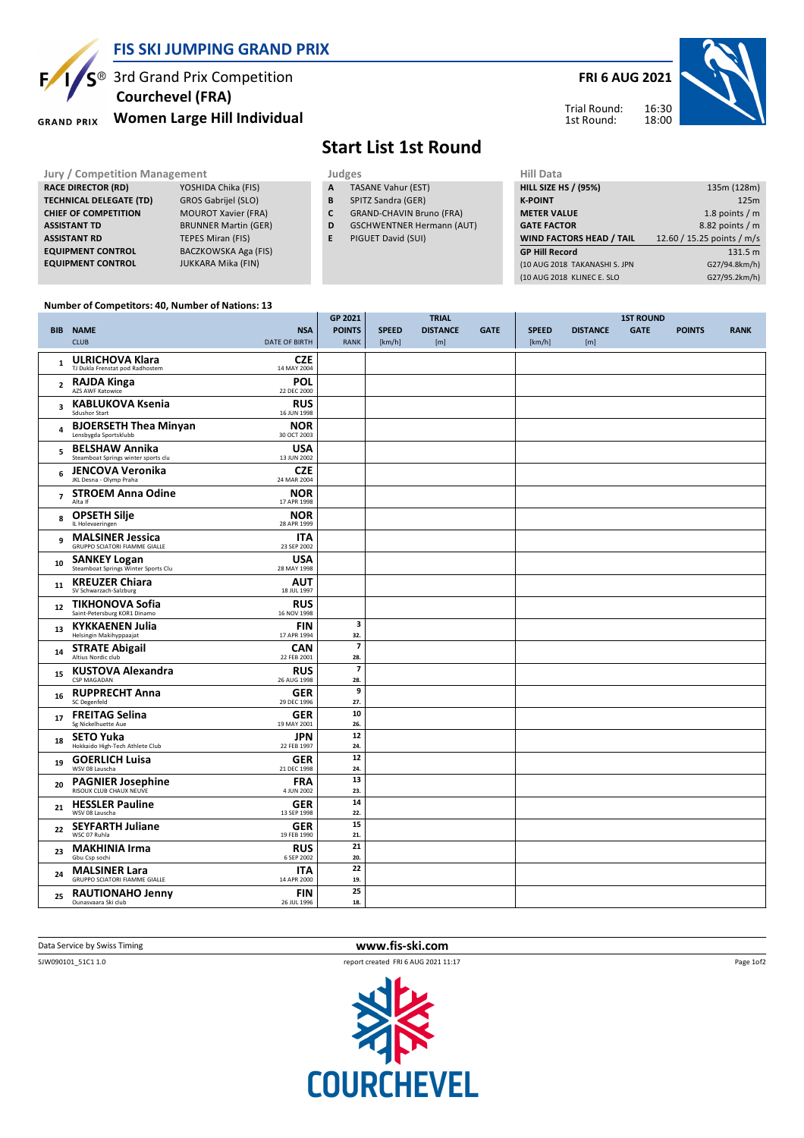

#### **FIS SKI JUMPING GRAND PRIX**

 $\mathsf{S}^{\circledast}$  3rd Grand Prix Competition  **Courchevel (FRA)**

**Women Large Hill Individual GRAND PRIX** 

### **FRI 6 AUG 2021**



Trial Round: 1st Round:

# **Start List 1st Round**

- **A** TASANE Vahur (EST)
- **B** SPITZ Sandra (GER)
- **C** GRAND-CHAVIN Bruno (FRA)
- **D** GSCHWENTNER Hermann (AUT)
- **E** PIGUET David (SUI)

| Jury / Competition Management  |                             |   | Judges                           | Hill Data                       |                            |  |  |
|--------------------------------|-----------------------------|---|----------------------------------|---------------------------------|----------------------------|--|--|
| <b>RACE DIRECTOR (RD)</b>      | YOSHIDA Chika (FIS)         | A | <b>TASANE Vahur (EST)</b>        | <b>HILL SIZE HS / (95%)</b>     | 135m (128m)                |  |  |
| <b>TECHNICAL DELEGATE (TD)</b> | GROS Gabrijel (SLO)         | в | SPITZ Sandra (GER)               | <b>K-POINT</b>                  | 125m                       |  |  |
| <b>CHIEF OF COMPETITION</b>    | <b>MOUROT Xavier (FRA)</b>  |   | <b>GRAND-CHAVIN Bruno (FRA)</b>  | <b>METER VALUE</b>              | 1.8 points $/m$            |  |  |
| <b>ASSISTANT TD</b>            | <b>BRUNNER Martin (GER)</b> | D | <b>GSCHWENTNER Hermann (AUT)</b> | <b>GATE FACTOR</b>              | $8.82$ points / m          |  |  |
| <b>ASSISTANT RD</b>            | TEPES Miran (FIS)           |   | PIGUET David (SUI)               | <b>WIND FACTORS HEAD / TAIL</b> | 12.60 / 15.25 points / m/s |  |  |
| <b>EQUIPMENT CONTROL</b>       | BACZKOWSKA Aga (FIS)        |   |                                  | <b>GP Hill Record</b>           | 131.5 m                    |  |  |
| <b>EQUIPMENT CONTROL</b>       | JUKKARA Mika (FIN)          |   |                                  | (10 AUG 2018 TAKANASHI S. JPN   | G27/94.8km/h)              |  |  |
|                                |                             |   |                                  | (10 AUG 2018 KLINEC E. SLO      | G27/95.2km/h)              |  |  |
|                                |                             |   |                                  |                                 |                            |  |  |

#### **Number of Competitors: 40, Number of Nations: 13**

|                |                                                                 |                           | GP 2021                        |              | <b>TRIAL</b>    |             |              |                 | <b>1ST ROUND</b> |               |             |
|----------------|-----------------------------------------------------------------|---------------------------|--------------------------------|--------------|-----------------|-------------|--------------|-----------------|------------------|---------------|-------------|
|                | <b>BIB NAME</b>                                                 | <b>NSA</b>                | <b>POINTS</b>                  | <b>SPEED</b> | <b>DISTANCE</b> | <b>GATE</b> | <b>SPEED</b> | <b>DISTANCE</b> | <b>GATE</b>      | <b>POINTS</b> | <b>RANK</b> |
|                | <b>CLUB</b>                                                     | <b>DATE OF BIRTH</b>      | <b>RANK</b>                    | [km/h]       | [m]             |             | [km/h]       | [m]             |                  |               |             |
| $\mathbf{1}$   | <b>ULRICHOVA Klara</b><br>TJ Dukla Frenstat pod Radhostem       | <b>CZE</b><br>14 MAY 2004 |                                |              |                 |             |              |                 |                  |               |             |
| $\overline{2}$ | <b>RAJDA Kinga</b><br>AZS AWF Katowice                          | <b>POL</b><br>22 DEC 2000 |                                |              |                 |             |              |                 |                  |               |             |
| 3              | <b>KABLUKOVA Ksenia</b><br>Sdushor Start                        | <b>RUS</b><br>16 JUN 1998 |                                |              |                 |             |              |                 |                  |               |             |
| 4              | <b>BJOERSETH Thea Minyan</b><br>Lensbygda Sportsklubb           | <b>NOR</b><br>30 OCT 2003 |                                |              |                 |             |              |                 |                  |               |             |
| 5              | <b>BELSHAW Annika</b><br>Steamboat Springs winter sports clu    | <b>USA</b><br>13 JUN 2002 |                                |              |                 |             |              |                 |                  |               |             |
| 6              | <b>JENCOVA Veronika</b><br>JKL Desna - Olymp Praha              | <b>CZE</b><br>24 MAR 2004 |                                |              |                 |             |              |                 |                  |               |             |
| $\overline{7}$ | <b>STROEM Anna Odine</b><br>Alta If                             | <b>NOR</b><br>17 APR 1998 |                                |              |                 |             |              |                 |                  |               |             |
| 8              | <b>OPSETH Silje</b><br>IL Holevaeringen                         | <b>NOR</b><br>28 APR 1999 |                                |              |                 |             |              |                 |                  |               |             |
| 9              | <b>MALSINER Jessica</b><br><b>GRUPPO SCIATORI FIAMME GIALLE</b> | ITA<br>23 SEP 2002        |                                |              |                 |             |              |                 |                  |               |             |
| 10             | <b>SANKEY Logan</b><br>Steamboat Springs Winter Sports Clu      | <b>USA</b><br>28 MAY 1998 |                                |              |                 |             |              |                 |                  |               |             |
| 11             | <b>KREUZER Chiara</b><br>SV Schwarzach-Salzburg                 | <b>AUT</b><br>18 JUL 1997 |                                |              |                 |             |              |                 |                  |               |             |
| 12             | <b>TIKHONOVA Sofia</b><br>Saint-Petersburg KOR1 Dinamo          | <b>RUS</b><br>16 NOV 1998 |                                |              |                 |             |              |                 |                  |               |             |
| 13             | <b>KYKKAENEN Julia</b><br>Helsingin Makihyppaajat               | FIN<br>17 APR 1994        | 3<br>32.                       |              |                 |             |              |                 |                  |               |             |
| 14             | <b>STRATE Abigail</b><br>Altius Nordic club                     | <b>CAN</b><br>22 FEB 2001 | $\overline{\mathbf{z}}$<br>28. |              |                 |             |              |                 |                  |               |             |
| 15             | <b>KUSTOVA Alexandra</b><br>CSP MAGADAN                         | <b>RUS</b><br>26 AUG 1998 | $\overline{\mathbf{z}}$<br>28. |              |                 |             |              |                 |                  |               |             |
| 16             | <b>RUPPRECHT Anna</b><br>SC Degenfeld                           | <b>GER</b><br>29 DEC 1996 | 9<br>27.                       |              |                 |             |              |                 |                  |               |             |
| 17             | <b>FREITAG Selina</b><br>Sg Nickelhuette Aue                    | <b>GER</b><br>19 MAY 2001 | 10<br>26.                      |              |                 |             |              |                 |                  |               |             |
| 18             | <b>SETO Yuka</b><br>Hokkaido High-Tech Athlete Club             | <b>JPN</b><br>22 FEB 1997 | 12<br>24.                      |              |                 |             |              |                 |                  |               |             |
| 19             | <b>GOERLICH Luisa</b><br>WSV 08 Lauscha                         | <b>GER</b><br>21 DEC 1998 | 12<br>24.                      |              |                 |             |              |                 |                  |               |             |
| 20             | <b>PAGNIER Josephine</b>                                        | <b>FRA</b><br>4 JUN 2002  | 13<br>23.                      |              |                 |             |              |                 |                  |               |             |
| 21             | <b>HESSLER Pauline</b><br>WSV 08 Lauscha                        | <b>GER</b><br>13 SEP 1998 | 14<br>22.                      |              |                 |             |              |                 |                  |               |             |
| 22             | <b>SEYFARTH Juliane</b><br>WSC 07 Ruhla                         | <b>GER</b><br>19 FEB 1990 | 15<br>21.                      |              |                 |             |              |                 |                  |               |             |
| 23             | <b>MAKHINIA Irma</b><br>Gbu Csp sochi                           | <b>RUS</b><br>6 SEP 2002  | 21<br>20.                      |              |                 |             |              |                 |                  |               |             |
| 24             | <b>MALSINER Lara</b><br><b>GRUPPO SCIATORI FIAMME GIALLE</b>    | <b>ITA</b><br>14 APR 2000 | 22<br>19.                      |              |                 |             |              |                 |                  |               |             |
| 25             | <b>RAUTIONAHO Jenny</b><br>Ounasvaara Ski club                  | <b>FIN</b><br>26 JUL 1996 | 25<br>18.                      |              |                 |             |              |                 |                  |               |             |
|                |                                                                 |                           |                                |              |                 |             |              |                 |                  |               |             |

Data Service by Swiss Timing **www.fis-ski.com**



Page 1of2